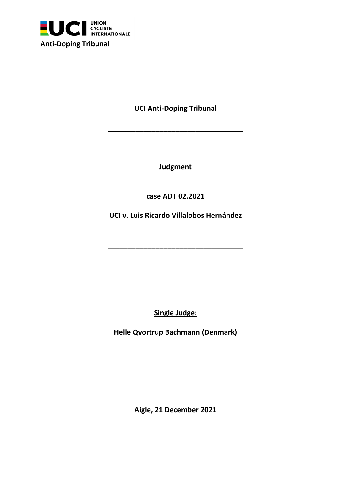

**UCI Anti-Doping Tribunal**

**\_\_\_\_\_\_\_\_\_\_\_\_\_\_\_\_\_\_\_\_\_\_\_\_\_\_\_\_\_\_\_\_\_\_**

**Judgment**

**case ADT 02.2021**

**UCI v. Luis Ricardo Villalobos Hernández**

**\_\_\_\_\_\_\_\_\_\_\_\_\_\_\_\_\_\_\_\_\_\_\_\_\_\_\_\_\_\_\_\_\_\_**

**Single Judge:**

**Helle Qvortrup Bachmann (Denmark)**

**Aigle, 21 December 2021**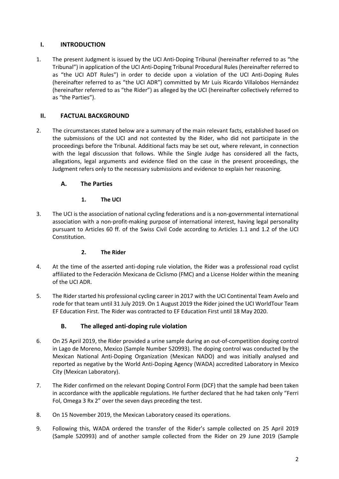## **I. INTRODUCTION**

1. The present Judgment is issued by the UCI Anti-Doping Tribunal (hereinafter referred to as "the Tribunal") in application of the UCI Anti-Doping Tribunal Procedural Rules (hereinafter referred to as "the UCI ADT Rules") in order to decide upon a violation of the UCI Anti-Doping Rules (hereinafter referred to as "the UCI ADR") committed by Mr Luis Ricardo Villalobos Hernández (hereinafter referred to as "the Rider") as alleged by the UCI (hereinafter collectively referred to as "the Parties").

# **II. FACTUAL BACKGROUND**

2. The circumstances stated below are a summary of the main relevant facts, established based on the submissions of the UCI and not contested by the Rider, who did not participate in the proceedings before the Tribunal. Additional facts may be set out, where relevant, in connection with the legal discussion that follows. While the Single Judge has considered all the facts, allegations, legal arguments and evidence filed on the case in the present proceedings, the Judgment refers only to the necessary submissions and evidence to explain her reasoning.

# **A. The Parties**

# **1. The UCI**

3. The UCI is the association of national cycling federations and is a non-governmental international association with a non-profit-making purpose of international interest, having legal personality pursuant to Articles 60 ff. of the Swiss Civil Code according to Articles 1.1 and 1.2 of the UCI Constitution.

# **2. The Rider**

- 4. At the time of the asserted anti-doping rule violation, the Rider was a professional road cyclist affiliated to the Federación Mexicana de Ciclismo (FMC) and a License Holder within the meaning of the UCI ADR.
- 5. The Rider started his professional cycling career in 2017 with the UCI Continental Team Avelo and rode for that team until 31 July 2019. On 1 August 2019 the Rider joined the UCI WorldTour Team EF Education First. The Rider was contracted to EF Education First until 18 May 2020.

# **B. The alleged anti-doping rule violation**

- 6. On 25 April 2019, the Rider provided a urine sample during an out-of-competition doping control in Lago de Moreno, Mexico (Sample Number 520993). The doping control was conducted by the Mexican National Anti-Doping Organization (Mexican NADO) and was initially analysed and reported as negative by the World Anti-Doping Agency (WADA) accredited Laboratory in Mexico City (Mexican Laboratory).
- 7. The Rider confirmed on the relevant Doping Control Form (DCF) that the sample had been taken in accordance with the applicable regulations. He further declared that he had taken only "Ferri Fol, Omega 3 Rx 2" over the seven days preceding the test.
- 8. On 15 November 2019, the Mexican Laboratory ceased its operations.
- 9. Following this, WADA ordered the transfer of the Rider's sample collected on 25 April 2019 (Sample 520993) and of another sample collected from the Rider on 29 June 2019 (Sample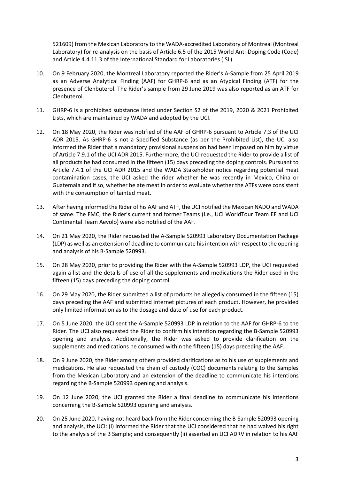521609) from the Mexican Laboratory to the WADA-accredited Laboratory of Montreal (Montreal Laboratory) for re-analysis on the basis of Article 6.5 of the 2015 World Anti-Doping Code (Code) and Article 4.4.11.3 of the International Standard for Laboratories (ISL).

- 10. On 9 February 2020, the Montreal Laboratory reported the Rider's A-Sample from 25 April 2019 as an Adverse Analytical Finding (AAF) for GHRP-6 and as an Atypical Finding (ATF) for the presence of Clenbuterol. The Rider's sample from 29 June 2019 was also reported as an ATF for Clenbuterol.
- 11. GHRP-6 is a prohibited substance listed under Section S2 of the 2019, 2020 & 2021 Prohibited Lists, which are maintained by WADA and adopted by the UCI.
- 12. On 18 May 2020, the Rider was notified of the AAF of GHRP-6 pursuant to Article 7.3 of the UCI ADR 2015. As GHRP-6 is not a Specified Substance (as per the Prohibited List), the UCI also informed the Rider that a mandatory provisional suspension had been imposed on him by virtue of Article 7.9.1 of the UCI ADR 2015. Furthermore, the UCI requested the Rider to provide a list of all products he had consumed in the fifteen (15) days preceding the doping controls. Pursuant to Article 7.4.1 of the UCI ADR 2015 and the WADA Stakeholder notice regarding potential meat contamination cases, the UCI asked the rider whether he was recently in Mexico, China or Guatemala and if so, whether he ate meat in order to evaluate whether the ATFs were consistent with the consumption of tainted meat.
- 13. After having informed the Rider of his AAF and ATF, the UCI notified the Mexican NADO and WADA of same. The FMC, the Rider's current and former Teams (i.e., UCI WorldTour Team EF and UCI Continental Team Aevolo) were also notified of the AAF.
- 14. On 21 May 2020, the Rider requested the A-Sample 520993 Laboratory Documentation Package (LDP) as well as an extension of deadline to communicate his intention with respect to the opening and analysis of his B-Sample 520993.
- 15. On 28 May 2020, prior to providing the Rider with the A-Sample 520993 LDP, the UCI requested again a list and the details of use of all the supplements and medications the Rider used in the fifteen (15) days preceding the doping control.
- 16. On 29 May 2020, the Rider submitted a list of products he allegedly consumed in the fifteen (15) days preceding the AAF and submitted internet pictures of each product. However, he provided only limited information as to the dosage and date of use for each product.
- 17. On 5 June 2020, the UCI sent the A-Sample 520993 LDP in relation to the AAF for GHRP-6 to the Rider. The UCI also requested the Rider to confirm his intention regarding the B-Sample 520993 opening and analysis. Additionally, the Rider was asked to provide clarification on the supplements and medications he consumed within the fifteen (15) days preceding the AAF.
- 18. On 9 June 2020, the Rider among others provided clarifications as to his use of supplements and medications. He also requested the chain of custody (COC) documents relating to the Samples from the Mexican Laboratory and an extension of the deadline to communicate his intentions regarding the B-Sample 520993 opening and analysis.
- 19. On 12 June 2020, the UCI granted the Rider a final deadline to communicate his intentions concerning the B-Sample 520993 opening and analysis.
- 20. On 25 June 2020, having not heard back from the Rider concerning the B-Sample 520993 opening and analysis, the UCI: (i) informed the Rider that the UCI considered that he had waived his right to the analysis of the B Sample; and consequently (ii) asserted an UCI ADRV in relation to his AAF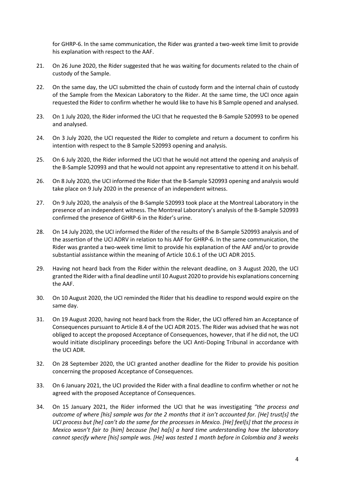for GHRP-6. In the same communication, the Rider was granted a two-week time limit to provide his explanation with respect to the AAF.

- 21. On 26 June 2020, the Rider suggested that he was waiting for documents related to the chain of custody of the Sample.
- 22. On the same day, the UCI submitted the chain of custody form and the internal chain of custody of the Sample from the Mexican Laboratory to the Rider. At the same time, the UCI once again requested the Rider to confirm whether he would like to have his B Sample opened and analysed.
- 23. On 1 July 2020, the Rider informed the UCI that he requested the B-Sample 520993 to be opened and analysed.
- 24. On 3 July 2020, the UCI requested the Rider to complete and return a document to confirm his intention with respect to the B Sample 520993 opening and analysis.
- 25. On 6 July 2020, the Rider informed the UCI that he would not attend the opening and analysis of the B-Sample 520993 and that he would not appoint any representative to attend it on his behalf.
- 26. On 8 July 2020, the UCI informed the Rider that the B-Sample 520993 opening and analysis would take place on 9 July 2020 in the presence of an independent witness.
- 27. On 9 July 2020, the analysis of the B-Sample 520993 took place at the Montreal Laboratory in the presence of an independent witness. The Montreal Laboratory's analysis of the B-Sample 520993 confirmed the presence of GHRP-6 in the Rider's urine.
- 28. On 14 July 2020, the UCI informed the Rider of the results of the B-Sample 520993 analysis and of the assertion of the UCI ADRV in relation to his AAF for GHRP-6. In the same communication, the Rider was granted a two-week time limit to provide his explanation of the AAF and/or to provide substantial assistance within the meaning of Article 10.6.1 of the UCI ADR 2015.
- 29. Having not heard back from the Rider within the relevant deadline, on 3 August 2020, the UCI granted the Rider with a final deadline until 10 August 2020 to provide his explanations concerning the AAF.
- 30. On 10 August 2020, the UCI reminded the Rider that his deadline to respond would expire on the same day.
- 31. On 19 August 2020, having not heard back from the Rider, the UCI offered him an Acceptance of Consequences pursuant to Article 8.4 of the UCI ADR 2015. The Rider was advised that he was not obliged to accept the proposed Acceptance of Consequences, however, that if he did not, the UCI would initiate disciplinary proceedings before the UCI Anti-Doping Tribunal in accordance with the UCI ADR.
- 32. On 28 September 2020, the UCI granted another deadline for the Rider to provide his position concerning the proposed Acceptance of Consequences.
- 33. On 6 January 2021, the UCI provided the Rider with a final deadline to confirm whether or not he agreed with the proposed Acceptance of Consequences.
- 34. On 15 January 2021, the Rider informed the UCI that he was investigating *"the process and outcome of where [his] sample was for the 2 months that it isn't accounted for. [He] trust[s] the UCI process but [he] can't do the same for the processes in Mexico. [He] feel[s] that the process in Mexico wasn't fair to [him] because [he] ha[s] a hard time understanding how the laboratory cannot specify where [his] sample was. [He] was tested 1 month before in Colombia and 3 weeks*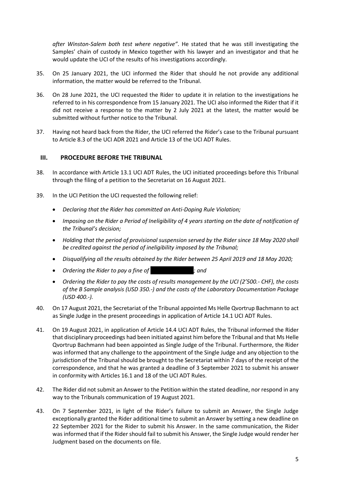*after Winston-Salem both test where negative"*. He stated that he was still investigating the Samples' chain of custody in Mexico together with his lawyer and an investigator and that he would update the UCI of the results of his investigations accordingly.

- 35. On 25 January 2021, the UCI informed the Rider that should he not provide any additional information, the matter would be referred to the Tribunal.
- 36. On 28 June 2021, the UCI requested the Rider to update it in relation to the investigations he referred to in his correspondence from 15 January 2021. The UCI also informed the Rider that if it did not receive a response to the matter by 2 July 2021 at the latest, the matter would be submitted without further notice to the Tribunal.
- 37. Having not heard back from the Rider, the UCI referred the Rider's case to the Tribunal pursuant to Article 8.3 of the UCI ADR 2021 and Article 13 of the UCI ADT Rules.

### **III. PROCEDURE BEFORE THE TRIBUNAL**

- 38. In accordance with Article 13.1 UCI ADT Rules, the UCI initiated proceedings before this Tribunal through the filing of a petition to the Secretariat on 16 August 2021.
- 39. In the UCI Petition the UCI requested the following relief:
	- *Declaring that the Rider has committed an Anti-Doping Rule Violation;*
	- *Imposing on the Rider a Period of Ineligibility of 4 years starting on the date of notification of the Tribunal's decision;*
	- *Holding that the period of provisional suspension served by the Rider since 18 May 2020 shall be credited against the period of ineligibility imposed by the Tribunal;*
	- *Disqualifying all the results obtained by the Rider between 25 April 2019 and 18 May 2020;*
	- *Ordering the Rider to pay a fine of …………………………; and*
	- *Ordering the Rider to pay the costs of results management by the UCI (2'500.- CHF), the costs of the B Sample analysis (USD 350.-) and the costs of the Laboratory Documentation Package (USD 400.-).*
- 40. On 17 August 2021, the Secretariat of the Tribunal appointed Ms Helle Qvortrup Bachmann to act as Single Judge in the present proceedings in application of Article 14.1 UCI ADT Rules.
- 41. On 19 August 2021, in application of Article 14.4 UCI ADT Rules, the Tribunal informed the Rider that disciplinary proceedings had been initiated against him before the Tribunal and that Ms Helle Qvortrup Bachmann had been appointed as Single Judge of the Tribunal. Furthermore, the Rider was informed that any challenge to the appointment of the Single Judge and any objection to the jurisdiction of the Tribunal should be brought to the Secretariat within 7 days of the receipt of the correspondence, and that he was granted a deadline of 3 September 2021 to submit his answer in conformity with Articles 16.1 and 18 of the UCI ADT Rules.
- 42. The Rider did not submit an Answer to the Petition within the stated deadline, nor respond in any way to the Tribunals communication of 19 August 2021.
- 43. On 7 September 2021, in light of the Rider's failure to submit an Answer, the Single Judge exceptionally granted the Rider additional time to submit an Answer by setting a new deadline on 22 September 2021 for the Rider to submit his Answer. In the same communication, the Rider was informed that if the Rider should fail to submit his Answer, the Single Judge would render her Judgment based on the documents on file.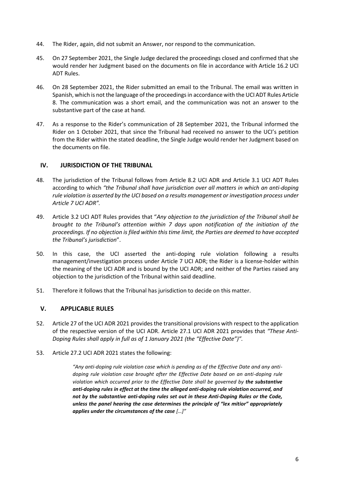- 44. The Rider, again, did not submit an Answer, nor respond to the communication.
- 45. On 27 September 2021, the Single Judge declared the proceedings closed and confirmed that she would render her Judgment based on the documents on file in accordance with Article 16.2 UCI ADT Rules.
- 46. On 28 September 2021, the Rider submitted an email to the Tribunal. The email was written in Spanish, which is not the language of the proceedings in accordance with the UCI ADT Rules Article 8. The communication was a short email, and the communication was not an answer to the substantive part of the case at hand.
- 47. As a response to the Rider's communication of 28 September 2021, the Tribunal informed the Rider on 1 October 2021, that since the Tribunal had received no answer to the UCI's petition from the Rider within the stated deadline, the Single Judge would render her Judgment based on the documents on file.

## **IV. JURISDICTION OF THE TRIBUNAL**

- 48. The jurisdiction of the Tribunal follows from Article 8.2 UCI ADR and Article 3.1 UCI ADT Rules according to which *"the Tribunal shall have jurisdiction over all matters in which an anti-doping rule violation is asserted by the UCI based on a results management or investigation process under Article 7 UCI ADR".*
- 49. Article 3.2 UCI ADT Rules provides that "*Any objection to the jurisdiction of the Tribunal shall be brought to the Tribunal's attention within 7 days upon notification of the initiation of the proceedings. If no objection is filed within this time limit, the Parties are deemed to have accepted the Tribunal's jurisdiction*".
- 50. In this case, the UCI asserted the anti-doping rule violation following a results management/investigation process under Article 7 UCI ADR; the Rider is a license-holder within the meaning of the UCI ADR and is bound by the UCI ADR; and neither of the Parties raised any objection to the jurisdiction of the Tribunal within said deadline.
- 51. Therefore it follows that the Tribunal has jurisdiction to decide on this matter.

## **V. APPLICABLE RULES**

- 52. Article 27 of the UCI ADR 2021 provides the transitional provisions with respect to the application of the respective version of the UCI ADR. Article 27.1 UCI ADR 2021 provides that *"These Anti-Doping Rules shall apply in full as of 1 January 2021 (the "Effective Date")".*
- 53. Article 27.2 UCI ADR 2021 states the following:

*"Any anti-doping rule violation case which is pending as of the Effective Date and any antidoping rule violation case brought after the Effective Date based on an anti-doping rule violation which occurred prior to the Effective Date shall be governed by the substantive anti-doping rules in effect at the time the alleged anti-doping rule violation occurred, and not by the substantive anti-doping rules set out in these Anti-Doping Rules or the Code, unless the panel hearing the case determines the principle of "lex mitior" appropriately applies under the circumstances of the case […]"*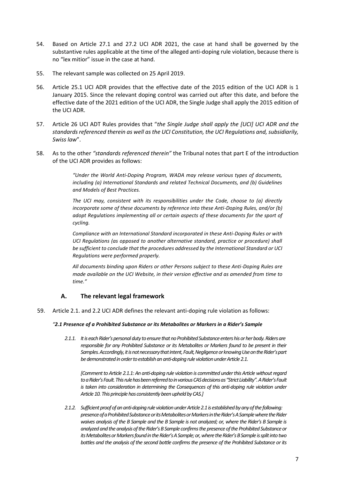- 54. Based on Article 27.1 and 27.2 UCI ADR 2021, the case at hand shall be governed by the substantive rules applicable at the time of the alleged anti-doping rule violation, because there is no "lex mitior" issue in the case at hand.
- 55. The relevant sample was collected on 25 April 2019.
- 56. Article 25.1 UCI ADR provides that the effective date of the 2015 edition of the UCI ADR is 1 January 2015. Since the relevant doping control was carried out after this date, and before the effective date of the 2021 edition of the UCI ADR, the Single Judge shall apply the 2015 edition of the UCI ADR.
- 57. Article 26 UCI ADT Rules provides that "*the Single Judge shall apply the [UCI] UCI ADR and the standards referenced therein as well as the UCI Constitution, the UCI Regulations and, subsidiarily, Swiss law*".
- 58. As to the other *"standards referenced therein"* the Tribunal notes that part E of the introduction of the UCI ADR provides as follows:

*"Under the World Anti-Doping Program, WADA may release various types of documents, including (a) International Standards and related Technical Documents, and (b) Guidelines and Models of Best Practices.*

*The UCI may, consistent with its responsibilities under the Code, choose to (a) directly incorporate some of these documents by reference into these Anti-Doping Rules, and/or (b) adopt Regulations implementing all or certain aspects of these documents for the sport of cycling.* 

*Compliance with an International Standard incorporated in these Anti-Doping Rules or with UCI Regulations (as opposed to another alternative standard, practice or procedure) shall be sufficient to conclude that the procedures addressed by the International Standard or UCI Regulations were performed properly.* 

*All documents binding upon Riders or other Persons subject to these Anti-Doping Rules are made available on the UCI Website, in their version effective and as amended from time to time."*

### **A. The relevant legal framework**

59. Article 2.1. and 2.2 UCI ADR defines the relevant anti-doping rule violation as follows:

#### *"2.1 Presence of a Prohibited Substance or its Metabolites or Markers in a Rider's Sample*

*2.1.1. It is each Rider's personal duty to ensure that no Prohibited Substance enters his or her body. Riders are responsible for any Prohibited Substance or its Metabolites or Markers found to be present in their Samples. Accordingly, it is not necessary that intent, Fault, Negligence or knowing Use on the Rider's part be demonstrated in order to establish an anti-doping rule violation under Article 2.1.* 

*[Comment to Article 2.1.1: An anti-doping rule violation is committed under this Article without regard to a Rider's Fault. This rule has been referred to in various CAS decisions as "Strict Liability". A Rider's Fault is taken into consideration in determining the Consequences of this anti-doping rule violation under Article 10. This principle has consistently been upheld by CAS.]*

*2.1.2. Sufficient proof of an anti-doping rule violation under Article 2.1 is established by any of the following: presence of a Prohibited Substance or its Metabolites or Markers in the Rider's A Sample where the Rider waives analysis of the B Sample and the B Sample is not analyzed; or, where the Rider's B Sample is analyzed and the analysis of the Rider's B Sample confirms the presence of the Prohibited Substance or its Metabolites or Markers found in the Rider's A Sample; or, where the Rider's B Sample is split into two bottles and the analysis of the second bottle confirms the presence of the Prohibited Substance or its*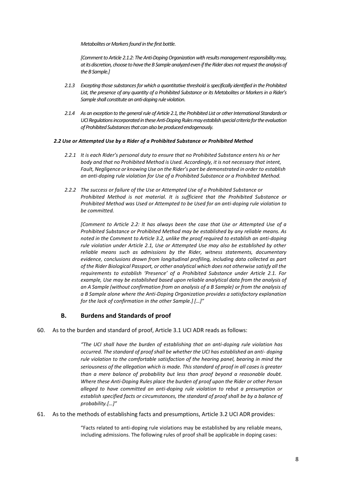*Metabolites or Markers found in the first bottle.* 

*[Comment to Article 2.1.2: The Anti-Doping Organization with results management responsibility may, at its discretion, choose to have the B Sample analyzed even if the Rider does not request the analysis of the B Sample.]* 

- *2.1.3 Excepting those substances for which a quantitative threshold is specifically identified in the Prohibited*  List, the presence of any quantity of a Prohibited Substance or its Metabolites or Markers in a Rider's *Sample shall constitute an anti-doping rule violation.*
- *2.1.4 As an exception to the general rule of Article 2.1, the Prohibited List or other International Standards or UCI Regulations incorporated in these Anti-Doping Rules may establish special criteria for the evaluation of Prohibited Substances that can also be produced endogenously.*

#### *2.2 Use or Attempted Use by a Rider of a Prohibited Substance or Prohibited Method*

- *2.2.1 It is each Rider's personal duty to ensure that no Prohibited Substance enters his or her body and that no Prohibited Method is Used. Accordingly, it is not necessary that intent, Fault, Negligence or knowing Use on the Rider's part be demonstrated in order to establish an anti-doping rule violation for Use of a Prohibited Substance or a Prohibited Method.*
- *2.2.2 The success or failure of the Use or Attempted Use of a Prohibited Substance or Prohibited Method is not material. It is sufficient that the Prohibited Substance or Prohibited Method was Used or Attempted to be Used for an anti-doping rule violation to be committed.*

*[Comment to Article 2.2: It has always been the case that Use or Attempted Use of a Prohibited Substance or Prohibited Method may be established by any reliable means. As noted in the Comment to Article 3.2, unlike the proof required to establish an anti-doping rule violation under Article 2.1, Use or Attempted Use may also be established by other reliable means such as admissions by the Rider, witness statements, documentary evidence, conclusions drawn from longitudinal profiling, including data collected as part of the Rider Biological Passport, or other analytical which does not otherwise satisfy all the requirements to establish 'Presence' of a Prohibited Substance under Article 2.1. For example, Use may be established based upon reliable analytical data from the analysis of an A Sample (without confirmation from an analysis of a B Sample) or from the analysis of a B Sample alone where the Anti-Doping Organization provides a satisfactory explanation for the lack of confirmation in the other Sample.] […]"*

## **B. Burdens and Standards of proof**

60. As to the burden and standard of proof, Article 3.1 UCI ADR reads as follows:

*"The UCI shall have the burden of establishing that an anti-doping rule violation has occurred. The standard of proof shall be whether the UCI has established an anti- doping rule violation to the comfortable satisfaction of the hearing panel, bearing in mind the seriousness of the allegation which is made. This standard of proof in all cases is greater than a mere balance of probability but less than proof beyond a reasonable doubt. Where these Anti-Doping Rules place the burden of proof upon the Rider or other Person alleged to have committed an anti-doping rule violation to rebut a presumption or establish specified facts or circumstances, the standard of proof shall be by a balance of probability.[…]"*

61. As to the methods of establishing facts and presumptions, Article 3.2 UCI ADR provides:

"Facts related to anti-doping rule violations may be established by any reliable means, including admissions. The following rules of proof shall be applicable in doping cases: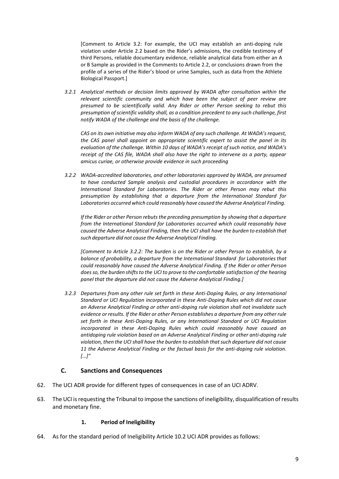[Comment to Article 3.2: For example, the UCI may establish an anti-doping rule violation under Article 2.2 based on the Rider's admissions, the credible testimony of third Persons, reliable documentary evidence, reliable analytical data from either an A or B Sample as provided in the Comments to Article 2.2, or conclusions drawn from the profile of a series of the Rider's blood or urine Samples, such as data from the Athlete Biological Passport.]

*3.2.1 Analytical methods or decision limits approved by WADA after consultation within the relevant scientific community and which have been the subject of peer review are presumed to be scientifically valid. Any Rider or other Person seeking to rebut this presumption of scientific validity shall, as a condition precedent to any such challenge, first notify WADA of the challenge and the basis of the challenge.* 

*CAS on its own initiative may also inform WADA of any such challenge. At WADA's request, the CAS panel shall appoint an appropriate scientific expert to assist the panel in its evaluation of the challenge. Within 10 days of WADA's receipt of such notice, and WADA's receipt of the CAS file, WADA shall also have the right to intervene as a party, appear amicus curiae, or otherwise provide evidence in such proceeding*

*3.2.2 WADA-accredited laboratories, and other laboratories approved by WADA, are presumed to have conducted Sample analysis and custodial procedures in accordance with the International Standard for Laboratories. The Rider or other Person may rebut this presumption by establishing that a departure from the International Standard for Laboratories occurred which could reasonably have caused the Adverse Analytical Finding.*

*If the Rider or other Person rebuts the preceding presumption by showing that a departure from the International Standard for Laboratories occurred which could reasonably have caused the Adverse Analytical Finding, then the UCI shall have the burden to establish that such departure did not cause the Adverse Analytical Finding.*

*[Comment to Article 3.2.2: The burden is on the Rider or other Person to establish, by a balance of probability, a departure from the International Standard for Laboratories that could reasonably have caused the Adverse Analytical Finding. If the Rider or other Person doesso,the burden shiftsto the UCI to prove to the comfortable satisfaction of the hearing panel that the departure did not cause the Adverse Analytical Finding.]*

*3.2.3 Departures from any other rule set forth in these Anti-Doping Rules, or any International Standard or UCI Regulation incorporated in these Anti-Doping Rules which did not cause an Adverse Analytical Finding or other anti-doping rule violation shall not invalidate such evidence or results. If the Rider or other Person establishes a departure from any other rule set forth in these Anti-Doping Rules, or any International Standard or UCI Regulation incorporated in these Anti-Doping Rules which could reasonably have caused an antidoping rule violation based on an Adverse Analytical Finding or other anti-doping rule violation, then the UCI shall have the burden to establish that such departure did not cause 11 the Adverse Analytical Finding or the factual basis for the anti-doping rule violation. […]"*

### **C. Sanctions and Consequences**

- 62. The UCI ADR provide for different types of consequences in case of an UCI ADRV.
- 63. The UCI is requesting the Tribunal to impose the sanctions of ineligibility, disqualification of results and monetary fine.

### **1. Period of Ineligibility**

64. As for the standard period of Ineligibility Article 10.2 UCI ADR provides as follows: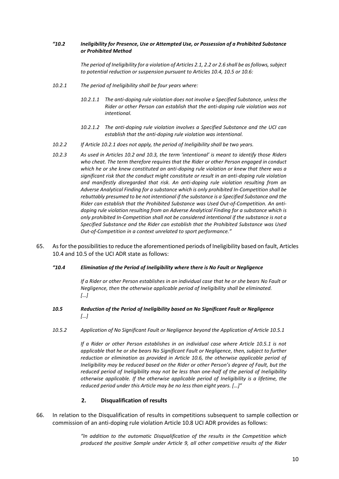#### *"10.2 Ineligibility for Presence, Use or Attempted Use, or Possession of a Prohibited Substance or Prohibited Method*

*The period of Ineligibility for a violation of Articles 2.1, 2.2 or 2.6 shall be as follows, subject to potential reduction or suspension pursuant to Articles 10.4, 10.5 or 10.6:*

- *10.2.1 The period of Ineligibility shall be four years where:*
	- *10.2.1.1 The anti-doping rule violation does not involve a Specified Substance, unless the Rider or other Person can establish that the anti-doping rule violation was not intentional.*
	- *10.2.1.2 The anti-doping rule violation involves a Specified Substance and the UCI can establish that the anti-doping rule violation was intentional.*
- *10.2.2 If Article 10.2.1 does not apply, the period of Ineligibility shall be two years.*
- *10.2.3 As used in Articles 10.2 and 10.3, the term 'intentional' is meant to identify those Riders who cheat. The term therefore requires that the Rider or other Person engaged in conduct which he or she knew constituted an anti-doping rule violation or knew that there was a significant risk that the conduct might constitute or result in an anti-doping rule violation and manifestly disregarded that risk. An anti-doping rule violation resulting from an Adverse Analytical Finding for a substance which is only prohibited In-Competition shall be rebuttably presumed to be not intentional if the substance is a Specified Substance and the Rider can establish that the Prohibited Substance was Used Out-of-Competition. An antidoping rule violation resulting from an Adverse Analytical Finding for a substance which is only prohibited In-Competition shall not be considered intentional if the substance is not a Specified Substance and the Rider can establish that the Prohibited Substance was Used Out-of-Competition in a context unrelated to sport performance."*
- 65. As for the possibilities to reduce the aforementioned periods of Ineligibility based on fault, Articles 10.4 and 10.5 of the UCI ADR state as follows:
	- *"10.4 Elimination of the Period of Ineligibility where there is No Fault or Negligence*

*If a Rider or other Person establishes in an individual case that he or she bears No Fault or Negligence, then the otherwise applicable period of Ineligibility shall be eliminated. […]*

- *10.5 Reduction of the Period of Ineligibility based on No Significant Fault or Negligence […]*
- *10.5.2 Application of No Significant Fault or Negligence beyond the Application of Article 10.5.1*

*If a Rider or other Person establishes in an individual case where Article 10.5.1 is not applicable that he or she bears No Significant Fault or Negligence, then, subject to further reduction or elimination as provided in Article 10.6, the otherwise applicable period of Ineligibility may be reduced based on the Rider or other Person's degree of Fault, but the reduced period of Ineligibility may not be less than one-half of the period of Ineligibility otherwise applicable. If the otherwise applicable period of Ineligibility is a lifetime, the reduced period under this Article may be no less than eight years. […]"* 

### **2. Disqualification of results**

66. In relation to the Disqualification of results in competitions subsequent to sample collection or commission of an anti-doping rule violation Article 10.8 UCI ADR provides as follows:

> *"In addition to the automatic Disqualification of the results in the Competition which produced the positive Sample under Article 9, all other competitive results of the Rider*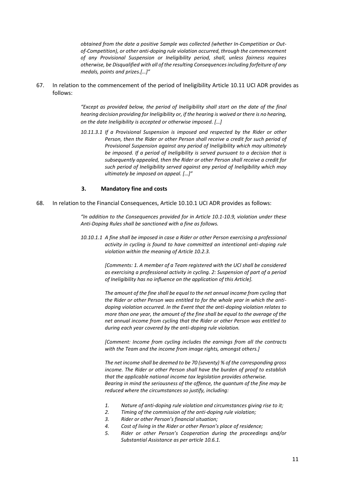*obtained from the date a positive Sample was collected (whether In-Competition or Outof-Competition), or other anti-doping rule violation occurred, through the commencement of any Provisional Suspension or Ineligibility period, shall, unless fairness requires otherwise, be Disqualified with all of the resulting Consequences including forfeiture of any medals, points and prizes.[…]"*

67. In relation to the commencement of the period of Ineligibility Article 10.11 UCI ADR provides as follows:

> *"Except as provided below, the period of Ineligibility shall start on the date of the final hearing decision providing for Ineligibility or, if the hearing is waived or there is no hearing, on the date Ineligibility is accepted or otherwise imposed. […]*

> *10.11.3.1 If a Provisional Suspension is imposed and respected by the Rider or other Person, then the Rider or other Person shall receive a credit for such period of Provisional Suspension against any period of Ineligibility which may ultimately be imposed. If a period of Ineligibility is served pursuant to a decision that is subsequently appealed, then the Rider or other Person shall receive a credit for such period of Ineligibility served against any period of Ineligibility which may ultimately be imposed on appeal. […]"*

#### **3. Mandatory fine and costs**

68. In relation to the Financial Consequences, Article 10.10.1 UCI ADR provides as follows:

*"In addition to the Consequences provided for in Article 10.1-10.9, violation under these Anti-Doping Rules shall be sanctioned with a fine as follows.* 

*10.10.1.1 A fine shall be imposed in case a Rider or other Person exercising a professional activity in cycling is found to have committed an intentional anti-doping rule violation within the meaning of Article 10.2.3.* 

> *[Comments: 1. A member of a Team registered with the UCI shall be considered as exercising a professional activity in cycling. 2: Suspension of part of a period of Ineligibility has no influence on the application of this Article].*

> *The amount of the fine shall be equal to the net annual income from cycling that the Rider or other Person was entitled to for the whole year in which the antidoping violation occurred. In the Event that the anti-doping violation relates to more than one year, the amount of the fine shall be equal to the average of the net annual income from cycling that the Rider or other Person was entitled to during each year covered by the anti-doping rule violation.*

> *[Comment: Income from cycling includes the earnings from all the contracts with the Team and the income from image rights, amongst others.]*

> *The net income shall be deemed to be 70 (seventy) % of the corresponding gross income. The Rider or other Person shall have the burden of proof to establish that the applicable national income tax legislation provides otherwise. Bearing in mind the seriousness of the offence, the quantum of the fine may be reduced where the circumstances so justify, including:*

- *1. Nature of anti-doping rule violation and circumstances giving rise to it;*
- *2. Timing of the commission of the anti-doping rule violation;*
- *3. Rider or other Person's financial situation;*
- *4. Cost of living in the Rider or other Person's place of residence;*
- *5. Rider or other Person's Cooperation during the proceedings and/or Substantial Assistance as per article 10.6.1.*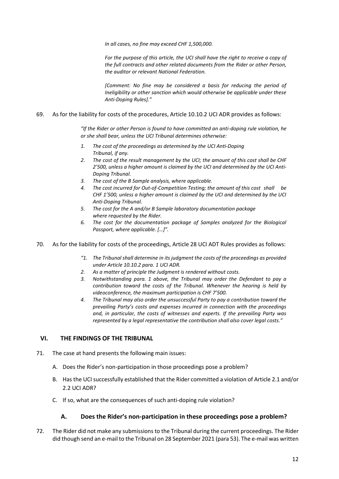*In all cases, no fine may exceed CHF 1,500,000.* 

*For the purpose of this article, the UCI shall have the right to receive a copy of the full contracts and other related documents from the Rider or other Person, the auditor or relevant National Federation.* 

*[Comment: No fine may be considered a basis for reducing the period of Ineligibility or other sanction which would otherwise be applicable under these Anti-Doping Rules]."* 

#### 69. As for the liability for costs of the procedures, Article 10.10.2 UCI ADR provides as follows:

*"If the Rider or other Person is found to have committed an anti-doping rule violation, he or she shall bear, unless the UCI Tribunal determines otherwise:*

- *1. The cost of the proceedings as determined by the UCI Anti-Doping Tribunal, if any.*
- *2. The cost of the result management by the UCI; the amount of this cost shall be CHF 2'500, unless a higher amount is claimed by the UCI and determined by the UCI Anti-Doping Tribunal.*
- *3. The cost of the B Sample analysis, where applicable.*
- *4. The cost incurred for Out-of-Competition Testing; the amount of this cost shall be CHF 1'500, unless a higher amount is claimed by the UCI and determined by the UCI Anti-Doping Tribunal.*
- *5. The cost for the A and/or B Sample laboratory documentation package where requested by the Rider.*
- *6. The cost for the documentation package of Samples analyzed for the Biological Passport, where applicable. […]".*
- 70. As for the liability for costs of the proceedings, Article 28 UCI ADT Rules provides as follows:
	- *"1. The Tribunal shall determine in its judgment the costs of the proceedings as provided under Article 10.10.2 para. 1 UCI ADR.*
	- *2. As a matter of principle the Judgment is rendered without costs.*
	- *3. Notwithstanding para. 1 above, the Tribunal may order the Defendant to pay a contribution toward the costs of the Tribunal. Whenever the hearing is held by videoconference, the maximum participation is CHF 7'500.*
	- *4. The Tribunal may also order the unsuccessful Party to pay a contribution toward the prevailing Party's costs and expenses incurred in connection with the proceedings and, in particular, the costs of witnesses and experts. If the prevailing Party was represented by a legal representative the contribution shall also cover legal costs."*

### **VI. THE FINDINGS OF THE TRIBUNAL**

- 71. The case at hand presents the following main issues:
	- A. Does the Rider's non-participation in those proceedings pose a problem?
	- B. Has the UCI successfully established that the Rider committed a violation of Article 2.1 and/or 2.2 UCI ADR?
	- C. If so, what are the consequences of such anti-doping rule violation?

## **A. Does the Rider's non-participation in these proceedings pose a problem?**

72. The Rider did not make any submissions to the Tribunal during the current proceedings. The Rider did though send an e-mail to the Tribunal on 28 September 2021 (para 53). The e-mail was written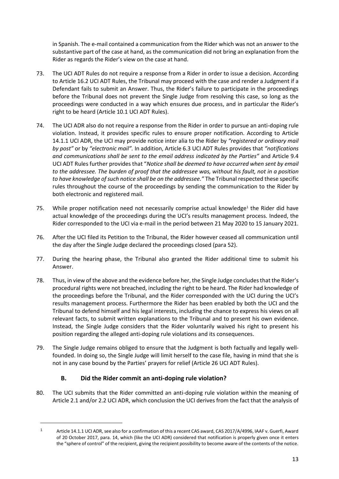in Spanish. The e-mail contained a communication from the Rider which was not an answer to the substantive part of the case at hand, as the communication did not bring an explanation from the Rider as regards the Rider's view on the case at hand.

- 73. The UCI ADT Rules do not require a response from a Rider in order to issue a decision. According to Article 16.2 UCI ADT Rules, the Tribunal may proceed with the case and render a Judgment if a Defendant fails to submit an Answer. Thus, the Rider's failure to participate in the proceedings before the Tribunal does not prevent the Single Judge from resolving this case, so long as the proceedings were conducted in a way which ensures due process, and in particular the Rider's right to be heard (Article 10.1 UCI ADT Rules).
- 74. The UCI ADR also do not require a response from the Rider in order to pursue an anti-doping rule violation. Instead, it provides specific rules to ensure proper notification. According to Article 14.1.1 UCI ADR, the UCI may provide notice inter alia to the Rider by *"registered or ordinary mail by post"* or by *"electronic mail".* In addition, Article 6.3 UCI ADT Rules provides that *"notifications and communications shall be sent to the email address indicated by the Parties"* and Article 9.4 UCI ADT Rules further provides that "*Notice shall be deemed to have occurred when sent by email to the addressee. The burden of proof that the addressee was, without his fault, not in a position to have knowledge of such notice shall be on the addressee."* The Tribunal respected these specific rules throughout the course of the proceedings by sending the communication to the Rider by both electronic and registered mail.
- 75. While proper notification need not necessarily comprise actual knowledge<sup>1</sup> the Rider did have actual knowledge of the proceedings during the UCI's results management process. Indeed, the Rider corresponded to the UCI via e-mail in the period between 21 May 2020 to 15 January 2021.
- 76. After the UCI filed its Petition to the Tribunal, the Rider however ceased all communication until the day after the Single Judge declared the proceedings closed (para 52).
- 77. During the hearing phase, the Tribunal also granted the Rider additional time to submit his Answer.
- 78. Thus, in view of the above and the evidence before her, the Single Judge concludes that the Rider's procedural rights were not breached, including the right to be heard. The Rider had knowledge of the proceedings before the Tribunal, and the Rider corresponded with the UCI during the UCI's results management process. Furthermore the Rider has been enabled by both the UCI and the Tribunal to defend himself and his legal interests, including the chance to express his views on all relevant facts, to submit written explanations to the Tribunal and to present his own evidence. Instead, the Single Judge considers that the Rider voluntarily waived his right to present his position regarding the alleged anti-doping rule violations and its consequences.
- 79. The Single Judge remains obliged to ensure that the Judgment is both factually and legally wellfounded. In doing so, the Single Judge will limit herself to the case file, having in mind that she is not in any case bound by the Parties' prayers for relief (Article 26 UCI ADT Rules).

# **B. Did the Rider commit an anti-doping rule violation?**

80. The UCI submits that the Rider committed an anti-doping rule violation within the meaning of Article 2.1 and/or 2.2 UCI ADR, which conclusion the UCI derives from the fact that the analysis of

<sup>&</sup>lt;sup>1</sup> Article 14.1.1 UCI ADR, see also for a confirmation of this a recent CAS award, CAS 2017/A/4996, IAAF v. Guerfi, Award of 20 October 2017, para. 14, which (like the UCI ADR) considered that notification is properly given once it enters the "sphere of control" of the recipient, giving the recipient possibility to become aware of the contents of the notice.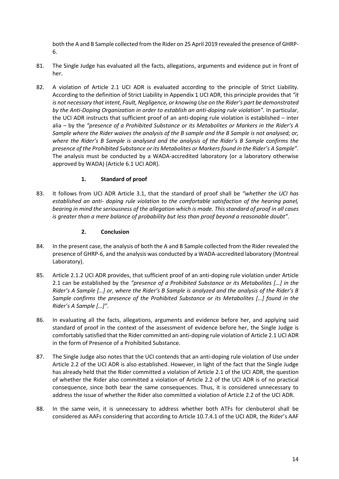both the A and B Sample collected from the Rider on 25 April 2019 revealed the presence of GHRP-6.

- 81. The Single Judge has evaluated all the facts, allegations, arguments and evidence put in front of her.
- 82. A violation of Article 2.1 UCI ADR is evaluated according to the principle of Strict Liability. According to the definition of Strict Liability in Appendix 1 UCI ADR, this principle provides that *"it is not necessary that intent, Fault, Negligence, or knowing Use on the Rider's part be demonstrated by the Anti-Doping Organization in order to establish an anti-doping rule violation".* In particular, the UCI ADR instructs that sufficient proof of an anti-doping rule violation is established – inter alia – by the *"presence of a Prohibited Substance or its Metabolites or Markers in the Rider's A Sample where the Rider waives the analysis of the B sample and the B Sample is not analysed; or, where the Rider's B Sample is analysed and the analysis of the Rider's B Sample confirms the presence of the Prohibited Substance or its Metabolites or Markers found in the Rider's A Sample".* The analysis must be conducted by a WADA-accredited laboratory (or a laboratory otherwise approved by WADA) (Article 6.1 UCI ADR).

## **1. Standard of proof**

83. It follows from UCI ADR Article 3.1, that the standard of proof shall be *"whether the UCI has established an anti- doping rule violation to the comfortable satisfaction of the hearing panel, bearing in mind the seriousness of the allegation which is made. This standard of proof in all cases is greater than a mere balance of probability but less than proof beyond a reasonable doubt".*

## **2. Conclusion**

- 84. In the present case, the analysis of both the A and B Sample collected from the Rider revealed the presence of GHRP-6, and the analysis was conducted by a WADA-accredited laboratory (Montreal Laboratory).
- 85. Article 2.1.2 UCI ADR provides, that sufficient proof of an anti-doping rule violation under Article 2.1 can be established by the *"presence of a Prohibited Substance or its Metabolites […] in the Rider's A Sample […] or, where the Rider's B Sample is analyzed and the analysis of the Rider's B Sample confirms the presence of the Prohibited Substance or its Metabolites […] found in the Rider's A Sample […]"*.
- 86. In evaluating all the facts, allegations, arguments and evidence before her, and applying said standard of proof in the context of the assessment of evidence before her, the Single Judge is comfortably satisfied that the Rider committed an anti-doping rule violation of Article 2.1 UCI ADR in the form of Presence of a Prohibited Substance.
- 87. The Single Judge also notes that the UCI contends that an anti-doping rule violation of Use under Article 2.2 of the UCI ADR is also established. However, in light of the fact that the Single Judge has already held that the Rider committed a violation of Article 2.1 of the UCI ADR, the question of whether the Rider also committed a violation of Article 2.2 of the UCI ADR is of no practical consequence, since both bear the same consequences. Thus, it is considered unnecessary to address the issue of whether the Rider also committed a violation of Article 2.2 of the UCI ADR.
- 88. In the same vein, it is unnecessary to address whether both ATFs for clenbuterol shall be considered as AAFs considering that according to Article 10.7.4.1 of the UCI ADR, the Rider's AAF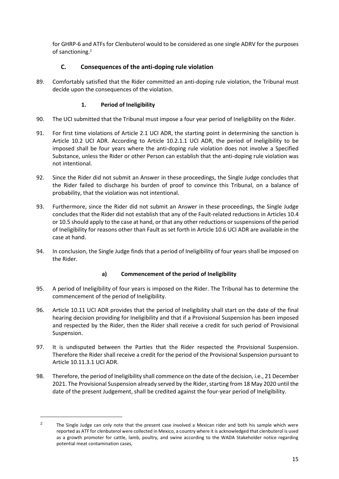for GHRP-6 and ATFs for Clenbuterol would to be considered as one single ADRV for the purposes of sanctioning. 2

# **C. Consequences of the anti-doping rule violation**

89. Comfortably satisfied that the Rider committed an anti-doping rule violation, the Tribunal must decide upon the consequences of the violation.

# **1. Period of Ineligibility**

- 90. The UCI submitted that the Tribunal must impose a four year period of Ineligibility on the Rider.
- 91. For first time violations of Article 2.1 UCI ADR, the starting point in determining the sanction is Article 10.2 UCI ADR. According to Article 10.2.1.1 UCI ADR, the period of Ineligibility to be imposed shall be four years where the anti-doping rule violation does not involve a Specified Substance, unless the Rider or other Person can establish that the anti-doping rule violation was not intentional.
- 92. Since the Rider did not submit an Answer in these proceedings, the Single Judge concludes that the Rider failed to discharge his burden of proof to convince this Tribunal, on a balance of probability, that the violation was not intentional.
- 93. Furthermore, since the Rider did not submit an Answer in these proceedings, the Single Judge concludes that the Rider did not establish that any of the Fault-related reductions in Articles 10.4 or 10.5 should apply to the case at hand, or that any other reductions or suspensions of the period of Ineligibility for reasons other than Fault as set forth in Article 10.6 UCI ADR are available in the case at hand.
- 94. In conclusion, the Single Judge finds that a period of Ineligibility of four years shall be imposed on the Rider.

## **a) Commencement of the period of Ineligibility**

- 95. A period of Ineligibility of four years is imposed on the Rider. The Tribunal has to determine the commencement of the period of Ineligibility.
- 96. Article 10.11 UCI ADR provides that the period of Ineligibility shall start on the date of the final hearing decision providing for Ineligibility and that if a Provisional Suspension has been imposed and respected by the Rider, then the Rider shall receive a credit for such period of Provisional Suspension.
- 97. It is undisputed between the Parties that the Rider respected the Provisional Suspension. Therefore the Rider shall receive a credit for the period of the Provisional Suspension pursuant to Article 10.11.3.1 UCI ADR.
- 98. Therefore, the period of Ineligibility shall commence on the date of the decision, i.e., 21 December 2021. The Provisional Suspension already served by the Rider, starting from 18 May 2020 until the date of the present Judgement, shall be credited against the four-year period of Ineligibility.

<sup>&</sup>lt;sup>2</sup> The Single Judge can only note that the present case involved a Mexican rider and both his sample which were reported as ATF for clenbuterol were collected in Mexico, a country where it is acknowledged that clenbuterol is used as a growth promoter for cattle, lamb, poultry, and swine according to the WADA Stakeholder notice regarding potential meat contamination cases,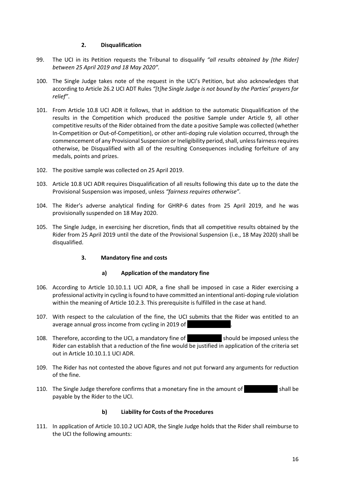### **2. Disqualification**

- 99. The UCI in its Petition requests the Tribunal to disqualify *"all results obtained by [the Rider] between 25 April 2019 and 18 May 2020".*
- 100. The Single Judge takes note of the request in the UCI's Petition, but also acknowledges that according to Article 26.2 UCI ADT Rules *"[t]he Single Judge is not bound by the Parties' prayers for relief"*.
- 101. From Article 10.8 UCI ADR it follows, that in addition to the automatic Disqualification of the results in the Competition which produced the positive Sample under Article 9, all other competitive results of the Rider obtained from the date a positive Sample was collected (whether In-Competition or Out-of-Competition), or other anti-doping rule violation occurred, through the commencement of any Provisional Suspension or Ineligibility period, shall, unless fairness requires otherwise, be Disqualified with all of the resulting Consequences including forfeiture of any medals, points and prizes.
- 102. The positive sample was collected on 25 April 2019.
- 103. Article 10.8 UCI ADR requires Disqualification of all results following this date up to the date the Provisional Suspension was imposed, unless *"fairness requires otherwise".*
- 104. The Rider's adverse analytical finding for GHRP-6 dates from 25 April 2019, and he was provisionally suspended on 18 May 2020.
- 105. The Single Judge, in exercising her discretion, finds that all competitive results obtained by the Rider from 25 April 2019 until the date of the Provisional Suspension (i.e., 18 May 2020) shall be disqualified.

## **3. Mandatory fine and costs**

### **a) Application of the mandatory fine**

- 106. According to Article 10.10.1.1 UCI ADR, a fine shall be imposed in case a Rider exercising a professional activity in cycling is found to have committed an intentional anti-doping rule violation within the meaning of Article 10.2.3. This prerequisite is fulfilled in the case at hand.
- 107. With respect to the calculation of the fine, the UCI submits that the Rider was entitled to an average annual gross income from cycling in 2019 of
- 108. Therefore, according to the UCI, a mandatory fine of **Election 2018** should be imposed unless the Rider can establish that a reduction of the fine would be justified in application of the criteria set out in Article 10.10.1.1 UCI ADR.
- 109. The Rider has not contested the above figures and not put forward any arguments for reduction of the fine.
- 110. The Single Judge therefore confirms that a monetary fine in the amount of shall be payable by the Rider to the UCI.

## **b) Liability for Costs of the Procedures**

111. In application of Article 10.10.2 UCI ADR, the Single Judge holds that the Rider shall reimburse to the UCI the following amounts: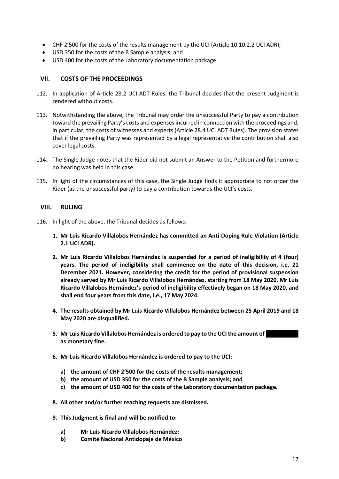- CHF 2'500 for the costs of the results management by the UCI (Article 10.10.2.2 UCI ADR);
- USD 350 for the costs of the B Sample analysis; and
- USD 400 for the costs of the Laboratory documentation package.

### **VII. COSTS OF THE PROCEEDINGS**

- 112. In application of Article 28.2 UCI ADT Rules, the Tribunal decides that the present Judgment is rendered without costs.
- 113. Notwithstanding the above, the Tribunal may order the unsuccessful Party to pay a contribution toward the prevailing Party's costs and expenses incurred in connection with the proceedings and, in particular, the costs of witnesses and experts (Article 28.4 UCI ADT Rules). The provision states that if the prevailing Party was represented by a legal representative the contribution shall also cover legal costs.
- 114. The Single Judge notes that the Rider did not submit an Answer to the Petition and furthermore no hearing was held in this case.
- 115. In light of the circumstances of this case, the Single Judge finds it appropriate to not order the Rider (as the unsuccessful party) to pay a contribution towards the UCI's costs.

### **VIII. RULING**

- 116. In light of the above, the Tribunal decides as follows:
	- **1. Mr Luis Ricardo Villalobos Hernández has committed an Anti-Doping Rule Violation (Article 2.1 UCI ADR).**
	- **2. Mr Luis Ricardo Villalobos Hernández is suspended for a period of ineligibility of 4 (four) years. The period of ineligibility shall commence on the date of this decision, i.e. 21 December 2021. However, considering the credit for the period of provisional suspension already served by Mr Luis Ricardo Villalobos Hernández, starting from 18 May 2020, Mr Luis Ricardo Villalobos Hernández's period of ineligibility effectively began on 18 May 2020, and shall end four years from this date, i.e., 17 May 2024.**
	- **4. The results obtained by Mr Luis Ricardo Villalobos Hernández between 25 April 2019 and 18 May 2020 are disqualified.**
	- **5. Mr Luis Ricardo Villalobos Hernández is ordered to pay to the UCI the amount of …………………. as monetary fine.**
	- **6. Mr Luis Ricardo Villalobos Hernández is ordered to pay to the UCI:**
		- **a) the amount of CHF 2'500 for the costs of the results management;**
		- **b) the amount of USD 350 for the costs of the B Sample analysis; and**
		- **c) the amount of USD 400 for the costs of the Laboratory documentation package.**
	- **8. All other and/or further reaching requests are dismissed.**
	- **9. This Judgment is final and will be notified to:**
		- **a) Mr Luis Ricardo Villalobos Hernández;**
		- **b) Comité Nacional Antidopaje de México**